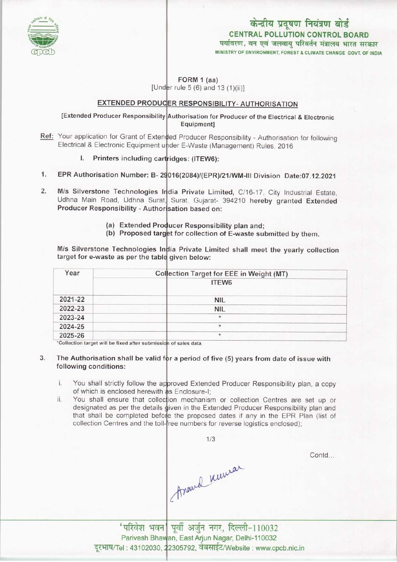

## केन्द्रीय प्रदूषण नियंत्रण बोर्ड CENTRAL POLLUTION CONTROL BOARD पर्यावरण. वन एवं जलवाय परिवर्तन मंत्रालय भारत सरकार MINISTRY OF ENVIRONMENT, FOREST & CLIMATE CHANGE GOVT. OF INDIA

FORM 1 (aa) [Under rule 5 (6) and 13  $(1)(ii)$ ]

## EXTENDED PRODUCER RESPONSIBILITY- AUTHORISATION

[Extended Producer Responsibility Authorisation for Producer of the Electrical & Electronic Equipment]

- Ref: Your application for Grant of Extended Producer Responsibility Authorisation for following Electrical & Electronic Equipment under E-Waste (Management) Rules, 2016
	- l. Printers including cartridges: (ITEW6):
- 1. EPR Authorisation Number: B- 29016(2084)/(EPR)/21/WM-III Division Date:07.12.2021
- 2. M/s Silverstone Technologies India Private Limited, C/16-17, City Industrial Estate Udhna Main Road, Udhna Surat, Surat, Gujarat- 394210 hereby granted Extended Producer Responsibility - Authorisation based on:
	- (a) Extended Producer Responsibility plan and;
	- (a) Extended Producer Responsibility plan and;<br>(b) Proposed target for collection of E-waste submitted by them.

M/s Silverstone Technologies India Private Limited shall meet the yearly collection target for e-waste as per the table given below:

| Year    | Collection Target for EEE in Weight (MT) |
|---------|------------------------------------------|
|         | ITEW6                                    |
| 2021-22 | <b>NIL</b>                               |
| 2022-23 | <b>NIL</b>                               |
| 2023-24 | $\star$                                  |
| 2024-25 | $^{\star}$                               |
| 2025-26 | $\star$                                  |

e fixed after submissio<mark>n of sales data</mark>.

- 3. The Authorisation shall be valid for a period of five (5) years from date of issue with following conditions:
	- i. You shall strictly follow the approved Extended Producer Responsibility plan, a copy of which is enclosed herewith as Enclosure-I;
	- of which is enclosed herewith as Enclosure-I;<br>ii. You shall ensure that collection mechanism or collection Centres are set up or designated as per the details given in the Extended Producer Responsibility plan and that shall be completed before the proposed dates if any in the EPR Plan (list of collection Centres and the toll-free numbers for reverse logistics enclosed)

Assaud numer

1/3

Contd...

'परिवेश भवन| पूर्वी अर्जुन नगर, दिल्ली-110032 Parivesh Bhawan, East Arjun Nagar, Delhi-110032 दूरभाष/Tel : 43102030, 22305792, वेबसाईट/Website : www.cpcb.nic.in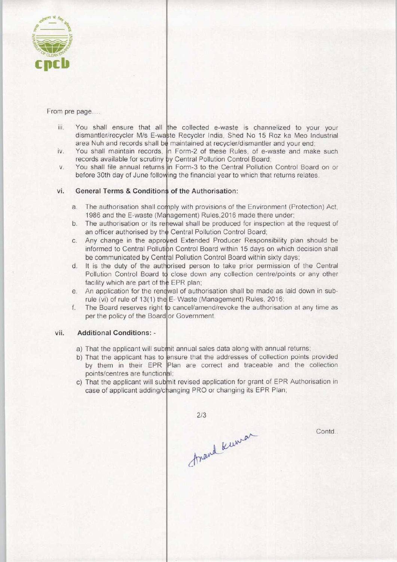

From pre page....

- iii. You shall ensure that all the collected e-waste is channelized to your your dismantler/recycler M/s E-waste Recycler India, Shed No 15 Roz ka Meo Industria area Nuh and records shall be maintained at recycler/dismantler and your end
- area Nuh and records shall be maintained at recycler/dismantler and your end;<br>iv. You shall maintain records, in Form-2 of these Rules, of e-waste and make such records available for scrutiny by Central Pollution Control Board
- records available for scrutiny by Central Pollution Control Board;<br>v. You shall file annual returns in Form-3 to the Central Pollution Control Board on or before 30th day of June following the financial year to which that returns relates

# vi. General Terms & Conditions of the Authorisation:

- The authorisation shall comply with provisions of the Environment (Protection) Act 1986 and the E-waste (Management) Rules, 2016 made there under
- The authorisation or its renewal shall be produced for inspection at the request of  $b$ an officer authorised by the Central Pollution Control Board
- Any change in the approved Extended Producer Responsibility plan should be  $C.$ informed to Central Pollution Control Board within 15 days on which decision shall be communicated by Central Pollution Control Board within sixty days
- It is the duty of the authorised person to take prior permission of the Central Pollution Control Board to close down any collection centre/points or any other facility which are part of the EPR plan;
- An application for the renewal of authorisation shall be made as laid down in subrule (vi) of rule of 13(1) the E-Waste (Management) Rules, 2016
- The Board reserves right to cancel/amend/revoke the authorisation at any time as  $f_{\nu}$ per the policy of the Board or Government

### vii. Additional Conditions: -

- a) That the applicant will submit annual sales data along with annual returns
- b) That the applicant has to ensure that the addresses of collection points provided That the applicant has to ensure that the addresses of collection points provided<br>by them in their EPR Plan are correct and traceable and the collection points/centres are functional;
- c) That the applicant will submit revised application for grant of EPR Authorisation in case of applicant adding/changing PRO or changing its EPR Plan;

 $2/3$ Arand Kuman

Contd..